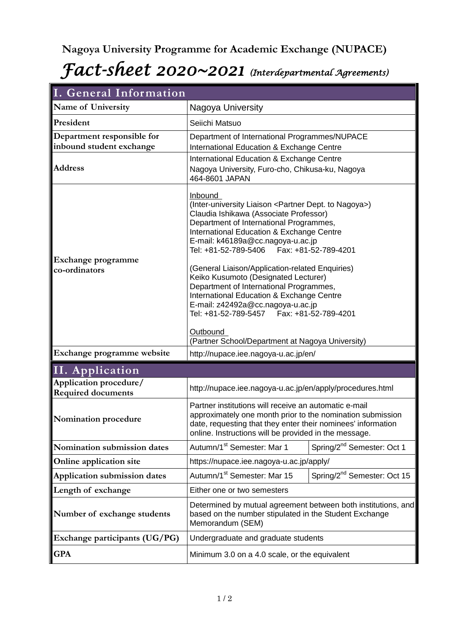## **Nagoya University Programme for Academic Exchange (NUPACE)**

## *Fact-sheet 2020~2021 (Interdepartmental Agreements)*

| I. General Information                                 |                                                                                                                                                                                                                                                                                                                                                                                                                                                                                                                                                                                                                                                                        |                                         |
|--------------------------------------------------------|------------------------------------------------------------------------------------------------------------------------------------------------------------------------------------------------------------------------------------------------------------------------------------------------------------------------------------------------------------------------------------------------------------------------------------------------------------------------------------------------------------------------------------------------------------------------------------------------------------------------------------------------------------------------|-----------------------------------------|
| Name of University                                     | Nagoya University                                                                                                                                                                                                                                                                                                                                                                                                                                                                                                                                                                                                                                                      |                                         |
| President                                              | Seiichi Matsuo                                                                                                                                                                                                                                                                                                                                                                                                                                                                                                                                                                                                                                                         |                                         |
| Department responsible for<br>inbound student exchange | Department of International Programmes/NUPACE<br>International Education & Exchange Centre                                                                                                                                                                                                                                                                                                                                                                                                                                                                                                                                                                             |                                         |
| <b>Address</b>                                         | International Education & Exchange Centre<br>Nagoya University, Furo-cho, Chikusa-ku, Nagoya<br>464-8601 JAPAN                                                                                                                                                                                                                                                                                                                                                                                                                                                                                                                                                         |                                         |
| Exchange programme<br>co-ordinators                    | Inbound<br>(Inter-university Liaison <partner dept.="" nagoya="" to="">)<br/>Claudia Ishikawa (Associate Professor)<br/>Department of International Programmes,<br/>International Education &amp; Exchange Centre<br/>E-mail: k46189a@cc.nagoya-u.ac.jp<br/>Tel: +81-52-789-5406    Fax: +81-52-789-4201<br/>(General Liaison/Application-related Enquiries)<br/>Keiko Kusumoto (Designated Lecturer)<br/>Department of International Programmes,<br/>International Education &amp; Exchange Centre<br/>E-mail: z42492a@cc.nagoya-u.ac.jp<br/>Tel: +81-52-789-5457    Fax: +81-52-789-4201<br/>Outbound<br/>(Partner School/Department at Nagoya University)</partner> |                                         |
| Exchange programme website                             | http://nupace.iee.nagoya-u.ac.jp/en/                                                                                                                                                                                                                                                                                                                                                                                                                                                                                                                                                                                                                                   |                                         |
| II. Application                                        |                                                                                                                                                                                                                                                                                                                                                                                                                                                                                                                                                                                                                                                                        |                                         |
| Application procedure/<br><b>Required documents</b>    | http://nupace.iee.nagoya-u.ac.jp/en/apply/procedures.html                                                                                                                                                                                                                                                                                                                                                                                                                                                                                                                                                                                                              |                                         |
| Nomination procedure                                   | Partner institutions will receive an automatic e-mail<br>approximately one month prior to the nomination submission<br>date, requesting that they enter their nominees' information<br>online. Instructions will be provided in the message.                                                                                                                                                                                                                                                                                                                                                                                                                           |                                         |
| Nomination submission dates                            | Autumn/1 <sup>st</sup> Semester: Mar 1                                                                                                                                                                                                                                                                                                                                                                                                                                                                                                                                                                                                                                 | Spring/2 <sup>nd</sup> Semester: Oct 1  |
| Online application site                                | https://nupace.iee.nagoya-u.ac.jp/apply/                                                                                                                                                                                                                                                                                                                                                                                                                                                                                                                                                                                                                               |                                         |
| Application submission dates                           | Autumn/1 <sup>st</sup> Semester: Mar 15                                                                                                                                                                                                                                                                                                                                                                                                                                                                                                                                                                                                                                | Spring/2 <sup>nd</sup> Semester: Oct 15 |
| Length of exchange                                     | Either one or two semesters                                                                                                                                                                                                                                                                                                                                                                                                                                                                                                                                                                                                                                            |                                         |
| Number of exchange students                            | Determined by mutual agreement between both institutions, and<br>based on the number stipulated in the Student Exchange<br>Memorandum (SEM)                                                                                                                                                                                                                                                                                                                                                                                                                                                                                                                            |                                         |
| Exchange participants (UG/PG)                          | Undergraduate and graduate students                                                                                                                                                                                                                                                                                                                                                                                                                                                                                                                                                                                                                                    |                                         |
| <b>GPA</b>                                             | Minimum 3.0 on a 4.0 scale, or the equivalent                                                                                                                                                                                                                                                                                                                                                                                                                                                                                                                                                                                                                          |                                         |